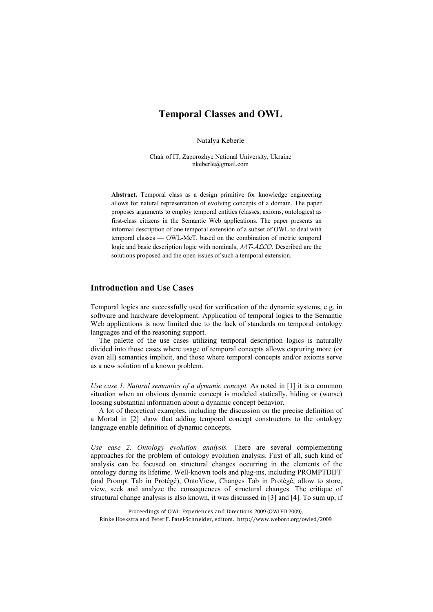# **Temporal Classes and OWL**

Natalya Keberle

Chair of IT, Zaporozhye National University, Ukraine nkeberle@gmail.com

**Abstract.** Temporal class as a design primitive for knowledge engineering allows for natural representation of evolving concepts of a domain. The paper proposes arguments to employ temporal entities (classes, axioms, ontologies) as first-class citizens in the Semantic Web applications. The paper presents an informal description of one temporal extension of a subset of OWL to deal with temporal classes — OWL-MeT, based on the combination of metric temporal logic and basic description logic with nominals,  $MT-\text{ALCO}$ . Described are the solutions proposed and the open issues of such a temporal extension.

### **Introduction and Use Cases**

Temporal logics are successfully used for verification of the dynamic systems, e.g. in software and hardware development. Application of temporal logics to the Semantic Web applications is now limited due to the lack of standards on temporal ontology languages and of the reasoning support.

The palette of the use cases utilizing temporal description logics is naturally divided into those cases where usage of temporal concepts allows capturing more (or even all) semantics implicit, and those where temporal concepts and/or axioms serve as a new solution of a known problem.

*Use case 1. Natural semantics of a dynamic concept.* As noted in [1] it is a common situation when an obvious dynamic concept is modeled statically, hiding or (worse) loosing substantial information about a dynamic concept behavior.

A lot of theoretical examples, including the discussion on the precise definition of a Mortal in [2] show that adding temporal concept constructors to the ontology language enable definition of dynamic concepts.

*Use case 2. Ontology evolution analysis.* There are several complementing approaches for the problem of ontology evolution analysis. First of all, such kind of analysis can be focused on structural changes occurring in the elements of the ontology during its lifetime. Well-known tools and plug-ins, including PROMPTDIFF (and Prompt Tab in Protégé), OntoView, Changes Tab in Protégé, allow to store, view, seek and analyze the consequences of structural changes. The critique of structural change analysis is also known, it was discussed in [3] and [4]. To sum up, if

Proceedings of OWL: Experiences and Directions 2009 (OWLED 2009), Rinke Hoekstra and Peter F. Patel-Schneider, editors. http://www.webont.org/owled/2009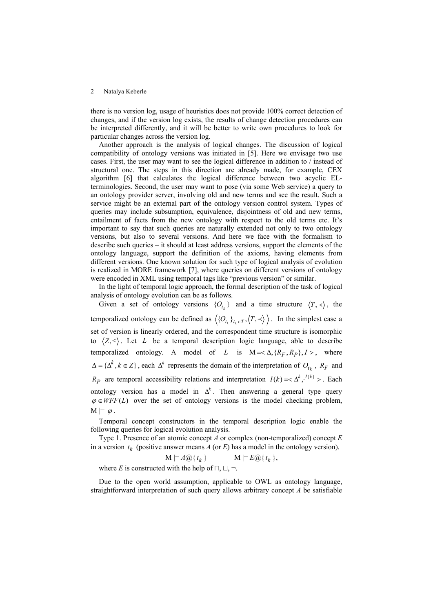there is no version log, usage of heuristics does not provide 100% correct detection of changes, and if the version log exists, the results of change detection procedures can be interpreted differently, and it will be better to write own procedures to look for particular changes across the version log.

Another approach is the analysis of logical changes. The discussion of logical compatibility of ontology versions was initiated in [5]. Here we envisage two use cases. First, the user may want to see the logical difference in addition to / instead of structural one. The steps in this direction are already made, for example, CEX algorithm [6] that calculates the logical difference between two acyclic ELterminologies. Second, the user may want to pose (via some Web service) a query to an ontology provider server, involving old and new terms and see the result. Such a service might be an external part of the ontology version control system. Types of queries may include subsumption, equivalence, disjointness of old and new terms, entailment of facts from the new ontology with respect to the old terms etc. It's important to say that such queries are naturally extended not only to two ontology versions, but also to several versions. And here we face with the formalism to describe such queries – it should at least address versions, support the elements of the ontology language, support the definition of the axioms, having elements from different versions. One known solution for such type of logical analysis of evolution is realized in MORE framework [7], where queries on different versions of ontology were encoded in XML using temporal tags like "previous version" or similar.

In the light of temporal logic approach, the formal description of the task of logical analysis of ontology evolution can be as follows.

Given a set of ontology versions  $\{O_{t_k}\}\$  and a time structure  $\langle T, \prec \rangle$ , the temporalized ontology can be defined as  $\langle {\{O_{t_k}\}}_{t_k \in T}, \langle T, \prec \rangle \rangle$ . In the simplest case a set of version is linearly ordered, and the correspondent time structure is isomorphic to  $\langle Z, \leq \rangle$ . Let *L* be a temporal description logic language, able to describe temporalized ontology. A model of *L* is  $M = \langle \Delta, \{R_F, R_P\}, I \rangle$ , where  ${\bf A} = {\bf A}^k$ ,  $k \in Z$ , each  ${\bf A}^k$  represents the domain of the interpretation of  $O_{t_k}$ ,  $R_F$  and  $R_P$  are temporal accessibility relations and interpretation  $I(k) = \langle \Delta^k, I^{(k)} \rangle$ . Each ontology version has a model in  $\Delta^k$ . Then answering a general type query  $\varphi \in WFF(L)$  over the set of ontology versions is the model checking problem,  $M \models \varphi$ .

Temporal concept constructors in the temporal description logic enable the following queries for logical evolution analysis.

Type 1. Presence of an atomic concept *A* or complex (non-temporalized) concept *E* in a version  $t_k$  (positive answer means *A* (or *E*) has a model in the ontology version).

$$
M \mid = A \omega \{ t_k \} \qquad \qquad M \mid = E \omega \{ t_k \},
$$

where *E* is constructed with the help of  $\Box$ ,  $\Box$ ,  $\Box$ .

Due to the open world assumption, applicable to OWL as ontology language, straightforward interpretation of such query allows arbitrary concept *A* be satisfiable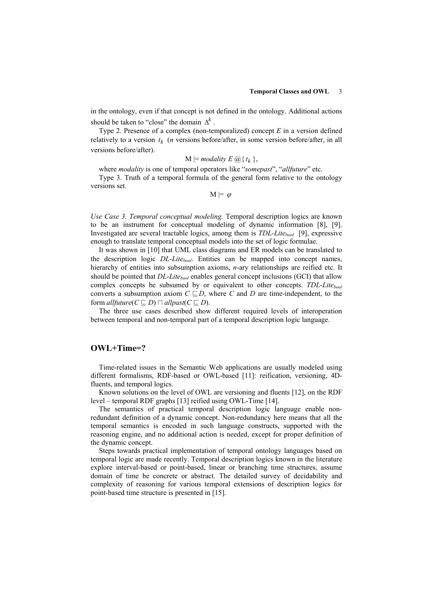in the ontology, even if that concept is not defined in the ontology. Additional actions should be taken to "close" the domain  $\Delta^k$ .

Type 2. Presence of a complex (non-temporalized) concept *E* in a version defined relatively to a version  $t_k$  (*n* versions before/after, in some version before/after, in all versions before/after).

$$
M \models \text{modality } E \bigotimes \{ t_k \},
$$

where *modality* is one of temporal operators like "*somepast*", "*allfuture*" etc.

Type 3. Truth of a temporal formula of the general form relative to the ontology versions set.

 $M \models \varphi$ 

*Use Case 3. Temporal conceptual modeling.* Temporal description logics are known to be an instrument for conceptual modeling of dynamic information [8], [9]. Investigated are several tractable logics, among them is *TDL-Litebool* [9], expressive enough to translate temporal conceptual models into the set of logic formulae.

It was shown in [10] that UML class diagrams and ER models can be translated to the description logic *DL*-*Litebool*. Entities can be mapped into concept names, hierarchy of entities into subsumption axioms, *n*-ary relationships are reified etc. It should be pointed that *DL-Lite<sub>bool</sub>* enables general concept inclusions (GCI) that allow complex concepts be subsumed by or equivalent to other concepts. *TDL-Lite*<sub>hool</sub> converts a subsumption axiom  $C \sqsubseteq D$ , where *C* and *D* are time-independent, to the form *allfuture*( $C \sqsubseteq D$ )  $\sqcap$  *allpast*( $C \sqsubseteq D$ ).

The three use cases described show different required levels of interoperation between temporal and non-temporal part of a temporal description logic language.

# **OWL+Time=?**

Time-related issues in the Semantic Web applications are usually modeled using different formalisms, RDF-based or OWL-based [11]: reification, versioning, 4Dfluents, and temporal logics.

Known solutions on the level of OWL are versioning and fluents [12], on the RDF level – temporal RDF graphs [13] reified using OWL-Time [14].

The semantics of practical temporal description logic language enable nonredundant definition of a dynamic concept. Non-redundancy here means that all the temporal semantics is encoded in such language constructs, supported with the reasoning engine, and no additional action is needed, except for proper definition of the dynamic concept.

Steps towards practical implementation of temporal ontology languages based on temporal logic are made recently. Temporal description logics known in the literature explore interval-based or point-based, linear or branching time structures, assume domain of time be concrete or abstract. The detailed survey of decidability and complexity of reasoning for various temporal extensions of description logics for point-based time structure is presented in [15].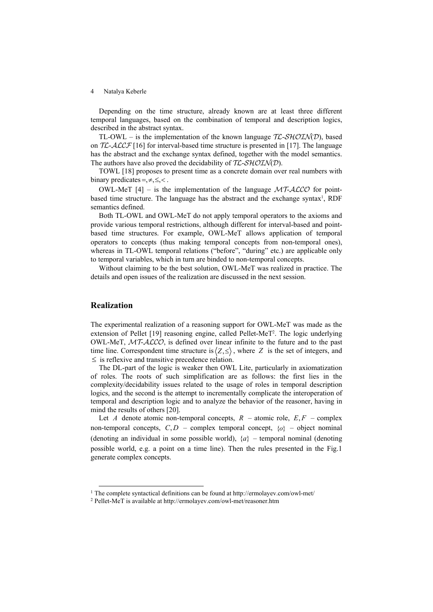Depending on the time structure, already known are at least three different temporal languages, based on the combination of temporal and description logics, described in the abstract syntax.

TL-OWL – is the implementation of the known language  $TL-SHOLN(D)$ , based on  $TL$ - $ALCF$  [16] for interval-based time structure is presented in [17]. The language has the abstract and the exchange syntax defined, together with the model semantics. The authors have also proved the decidability of  $TL-SHOLN(D)$ .

TOWL [18] proposes to present time as a concrete domain over real numbers with binary predicates =, $\neq, \leq, \leq$ .

OWL-MeT  $[4]$  – is the implementation of the language  $MTACCO$  for pointbased time structure. The language has the abstract and the exchange syntax<sup>1</sup>, RDF semantics defined.

Both TL-OWL and OWL-MeT do not apply temporal operators to the axioms and provide various temporal restrictions, although different for interval-based and pointbased time structures. For example, OWL-MeT allows application of temporal operators to concepts (thus making temporal concepts from non-temporal ones), whereas in TL-OWL temporal relations ("before", "during" etc.) are applicable only to temporal variables, which in turn are binded to non-temporal concepts.

Without claiming to be the best solution, OWL-MeT was realized in practice. The details and open issues of the realization are discussed in the next session.

## **Realization**

The experimental realization of a reasoning support for OWL-MeT was made as the extension of Pellet [19] reasoning engine, called Pellet-MeT2. The logic underlying OWL-MeT,  $MT-ALCO$ , is defined over linear infinite to the future and to the past time line. Correspondent time structure is  $\langle Z, \leq \rangle$ , where *Z* is the set of integers, and  $\leq$  is reflexive and transitive precedence relation.

The DL-part of the logic is weaker then OWL Lite, particularly in axiomatization of roles. The roots of such simplification are as follows: the first lies in the complexity/decidability issues related to the usage of roles in temporal description logics, and the second is the attempt to incrementally complicate the interoperation of temporal and description logic and to analyze the behavior of the reasoner, having in mind the results of others [20].

Let *A* denote atomic non-temporal concepts,  $R$  – atomic role,  $E, F$  – complex non-temporal concepts,  $C, D$  – complex temporal concept,  $\{o\}$  – object nominal (denoting an individual in some possible world),  $\{a\}$  – temporal nominal (denoting possible world, e.g. a point on a time line). Then the rules presented in the Fig.1 generate complex concepts.

<sup>&</sup>lt;sup>1</sup> The complete syntactical definitions can be found at http://ermolayev.com/owl-met/ $\frac{2 \text{ Pellet-MeT}}{2 \text{ Pellet-MeT}}$  is available at http://ermolayev.com/owl-met/reasoner.htm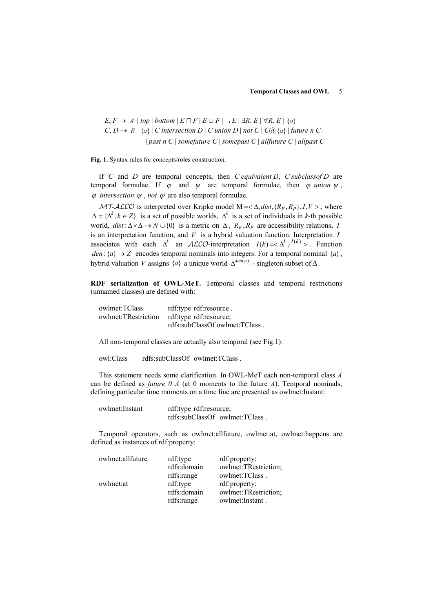$E, F \rightarrow A \mid top \mid bottom \mid E \sqcap F \mid E \sqcup F \mid \neg E \mid \exists R. E \mid \forall R. E \mid \{o\}$  $C, D \rightarrow E \mid \{a\} \mid C$  intersection  $D \mid C$  union  $D \mid not \ C \mid C(\overline{a}) \{a\} \mid future \ n \ C \mid C$  $|$  *past n C*  $|$  *somefuture C*  $|$  *somepast C*  $|$  *allfuture C*  $|$  *allpast C* 

**Fig. 1.** Syntax rules for concepts/roles construction.

If *C* and *D* are temporal concepts, then *C equivalent D*, *C subclassof D* are temporal formulae. If  $\varphi$  and  $\psi$  are temporal formulae, then  $\varphi$  *union*  $\psi$ ,  $\varphi$  *intersection*  $\psi$ , *not*  $\varphi$  are also temporal formulae.

 $MT-ALCO$  is interpreted over Kripke model  $M = \langle \Delta, dist, \{R_F, R_P\}, I, V \rangle$ , where  $\Delta = \{\Delta^k, k \in \mathbb{Z}\}\$ is a set of possible worlds,  $\Delta^k$  is a set of individuals in *k*-th possible world,  $dist: \Delta \times \Delta \rightarrow N \cup \{0\}$  is a metric on  $\Delta$ ,  $R_F$ ,  $R_P$  are accessibility relations, *I* is an interpretation function, and *V* is a hybrid valuation function. Interpretation *I* associates with each  $\Delta^k$  an  $\text{ALCO-interpretation}$   $I(k) = \Delta^k$ ,  $I(k) >$ . Function *den* :  $\{a\} \rightarrow Z$  encodes temporal nominals into integers. For a temporal nominal  $\{a\}$ , hybrid valuation *V* assigns  $\{a\}$  a unique world  $\Delta^{den(a)}$  - singleton subset of  $\Delta$ .

**RDF serialization of OWL-MeT.** Temporal classes and temporal restrictions (unnamed classes) are defined with:

| owlmet:TClass       | rdf:type rdf:resource.         |
|---------------------|--------------------------------|
| owlmet:TRestriction | rdf:type rdf:resource;         |
|                     | rdfs:subClassOf owlmet:TClass. |

All non-temporal classes are actually also temporal (see Fig.1):

owl:Class rdfs:subClassOf owlmet:TClass .

This statement needs some clarification. In OWL-MeT each non-temporal class *A* can be defined as *future 0 A* (at 0 moments to the future *A*). Temporal nominals, defining particular time moments on a time line are presented as owlmet:Instant:

| owlmet:Instant | rdf:type rdf:resource; |                                |
|----------------|------------------------|--------------------------------|
|                |                        | rdfs:subClassOf owlmet:TClass. |

Temporal operators, such as owlmet:allfuture, owlmet:at, owlmet:happens are defined as instances of rdf:property:

| owlmet:allfuture | rdf:type    | rdf: property;       |
|------------------|-------------|----------------------|
|                  | rdfs:domain | owlmet:TRestriction; |
|                  | rdfs:range  | owlmet:TClass.       |
| owlmet: at       | rdf:type    | rdf:property;        |
|                  | rdfs:domain | owlmet:TRestriction; |
|                  | rdfs:range  | owlmet: Instant.     |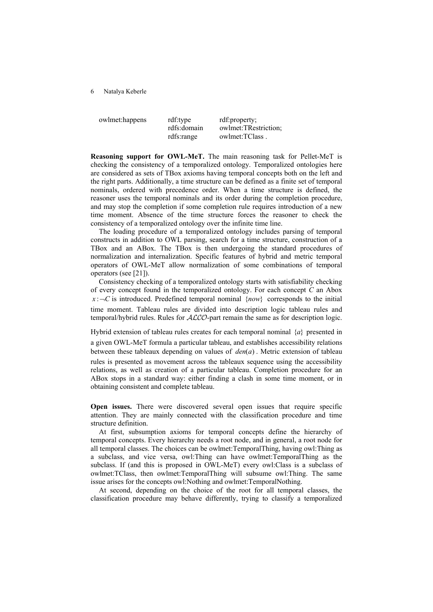owlmet:happens rdf:type rdf:property; rdfs:domain owlmet:TRestriction; rdfs:range owlmet:TClass .

**Reasoning support for OWL-MeT.** The main reasoning task for Pellet-MeT is checking the consistency of a temporalized ontology. Temporalized ontologies here are considered as sets of TBox axioms having temporal concepts both on the left and the right parts. Additionally, a time structure can be defined as a finite set of temporal nominals, ordered with precedence order. When a time structure is defined, the reasoner uses the temporal nominals and its order during the completion procedure, and may stop the completion if some completion rule requires introduction of a new time moment. Absence of the time structure forces the reasoner to check the consistency of a temporalized ontology over the infinite time line.

The loading procedure of a temporalized ontology includes parsing of temporal constructs in addition to OWL parsing, search for a time structure, construction of a TBox and an ABox. The TBox is then undergoing the standard procedures of normalization and internalization. Specific features of hybrid and metric temporal operators of OWL-MeT allow normalization of some combinations of temporal operators (see [21]).

Consistency checking of a temporalized ontology starts with satisfiability checking of every concept found in the temporalized ontology. For each concept *C* an Abox  $x : C$  is introduced. Predefined temporal nominal {*now*} corresponds to the initial time moment. Tableau rules are divided into description logic tableau rules and temporal/hybrid rules. Rules for  $ALCO$ -part remain the same as for description logic.

Hybrid extension of tableau rules creates for each temporal nominal {*a*} presented in a given OWL-MeT formula a particular tableau, and establishes accessibility relations between these tableaux depending on values of *den*(*a*) . Metric extension of tableau rules is presented as movement across the tableaux sequence using the accessibility relations, as well as creation of a particular tableau. Completion procedure for an ABox stops in a standard way: either finding a clash in some time moment, or in obtaining consistent and complete tableau.

**Open issues.** There were discovered several open issues that require specific attention. They are mainly connected with the classification procedure and time structure definition.

At first, subsumption axioms for temporal concepts define the hierarchy of temporal concepts. Every hierarchy needs a root node, and in general, a root node for all temporal classes. The choices can be owlmet:TemporalThing, having owl:Thing as a subclass, and vice versa, owl:Thing can have owlmet:TemporalThing as the subclass. If (and this is proposed in OWL-MeT) every owl:Class is a subclass of owlmet:TClass, then owlmet:TemporalThing will subsume owl:Thing. The same issue arises for the concepts owl:Nothing and owlmet:TemporalNothing.

At second, depending on the choice of the root for all temporal classes, the classification procedure may behave differently, trying to classify a temporalized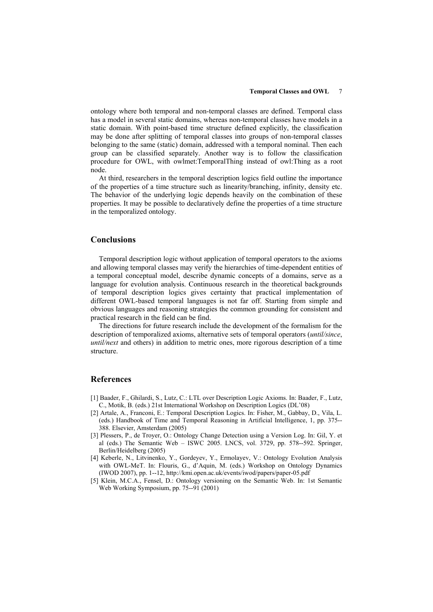#### **Temporal Classes and OWL** 7

ontology where both temporal and non-temporal classes are defined. Temporal class has a model in several static domains, whereas non-temporal classes have models in a static domain. With point-based time structure defined explicitly, the classification may be done after splitting of temporal classes into groups of non-temporal classes belonging to the same (static) domain, addressed with a temporal nominal. Then each group can be classified separately. Another way is to follow the classification procedure for OWL, with owlmet:TemporalThing instead of owl:Thing as a root node.

At third, researchers in the temporal description logics field outline the importance of the properties of a time structure such as linearity/branching, infinity, density etc. The behavior of the underlying logic depends heavily on the combination of these properties. It may be possible to declaratively define the properties of a time structure in the temporalized ontology.

### **Conclusions**

Temporal description logic without application of temporal operators to the axioms and allowing temporal classes may verify the hierarchies of time-dependent entities of a temporal conceptual model, describe dynamic concepts of a domains, serve as a language for evolution analysis. Continuous research in the theoretical backgrounds of temporal description logics gives certainty that practical implementation of different OWL-based temporal languages is not far off. Starting from simple and obvious languages and reasoning strategies the common grounding for consistent and practical research in the field can be find.

The directions for future research include the development of the formalism for the description of temporalized axioms, alternative sets of temporal operators (*until/since*, *until/next* and others) in addition to metric ones, more rigorous description of a time structure.

## **References**

- [1] Baader, F., Ghilardi, S., Lutz, C.: LTL over Description Logic Axioms. In: Baader, F., Lutz, C., Motik, B. (eds.) 21st International Workshop on Description Logics (DL'08)
- [2] Artale, A., Franconi, E.: Temporal Description Logics. In: Fisher, M., Gabbay, D., Vila, L. (eds.) Handbook of Time and Temporal Reasoning in Artificial Intelligence, 1, pp. 375-- 388. Elsevier, Amsterdam (2005)
- [3] Plessers, P., de Troyer, O.: Ontology Change Detection using a Version Log. In: Gil, Y. et al (eds.) The Semantic Web – ISWC 2005. LNCS, vol. 3729, pp. 578--592. Springer, Berlin/Heidelberg (2005)
- [4] Keberle, N., Litvinenko, Y., Gordeyev, Y., Ermolayev, V.: Ontology Evolution Analysis with OWL-MeT. In: Flouris, G., d'Aquin, M. (eds.) Workshop on Ontology Dynamics (IWOD 2007), pp. 1--12, http://kmi.open.ac.uk/events/iwod/papers/paper-05.pdf
- [5] Klein, M.C.A., Fensel, D.: Ontology versioning on the Semantic Web. In: 1st Semantic Web Working Symposium, pp. 75--91 (2001)